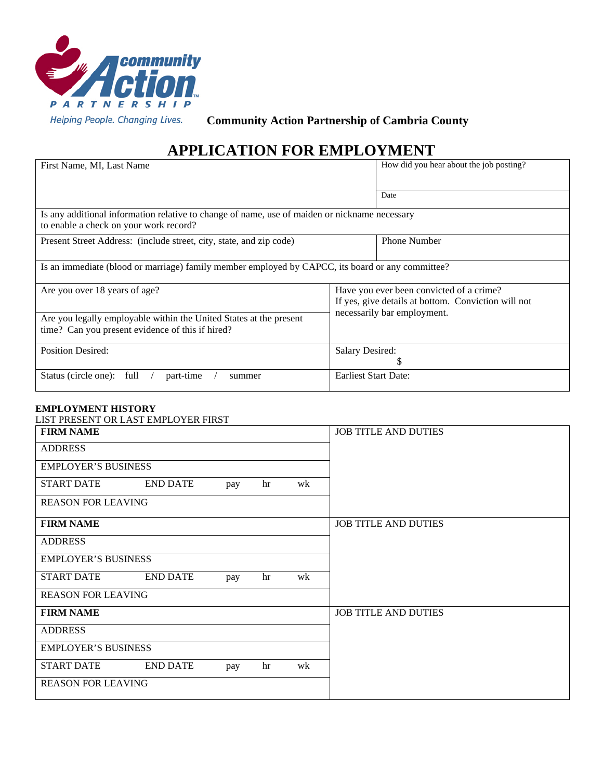

**Community Action Partnership of Cambria County**

# **APPLICATION FOR EMPLOYMENT**

| First Name, MI, Last Name                                                                                                               | How did you hear about the job posting?                                                         |  |  |  |  |  |
|-----------------------------------------------------------------------------------------------------------------------------------------|-------------------------------------------------------------------------------------------------|--|--|--|--|--|
|                                                                                                                                         |                                                                                                 |  |  |  |  |  |
|                                                                                                                                         | Date                                                                                            |  |  |  |  |  |
| Is any additional information relative to change of name, use of maiden or nickname necessary<br>to enable a check on your work record? |                                                                                                 |  |  |  |  |  |
| Present Street Address: (include street, city, state, and zip code)                                                                     | <b>Phone Number</b>                                                                             |  |  |  |  |  |
| Is an immediate (blood or marriage) family member employed by CAPCC, its board or any committee?                                        |                                                                                                 |  |  |  |  |  |
| Are you over 18 years of age?                                                                                                           | Have you ever been convicted of a crime?<br>If yes, give details at bottom. Conviction will not |  |  |  |  |  |
| Are you legally employable within the United States at the present<br>time? Can you present evidence of this if hired?                  | necessarily bar employment.                                                                     |  |  |  |  |  |
| <b>Position Desired:</b>                                                                                                                | <b>Salary Desired:</b>                                                                          |  |  |  |  |  |
| Status (circle one): full<br>part-time<br>summer                                                                                        | <b>Earliest Start Date:</b>                                                                     |  |  |  |  |  |

## **EMPLOYMENT HISTORY**

| LIST PRESENT OR LAST EMPLOYER FIRST |                 |     |    |    |                             |
|-------------------------------------|-----------------|-----|----|----|-----------------------------|
| <b>FIRM NAME</b>                    |                 |     |    |    | <b>JOB TITLE AND DUTIES</b> |
| <b>ADDRESS</b>                      |                 |     |    |    |                             |
| <b>EMPLOYER'S BUSINESS</b>          |                 |     |    |    |                             |
| <b>START DATE</b>                   | <b>END DATE</b> | pay | hr | wk |                             |
| <b>REASON FOR LEAVING</b>           |                 |     |    |    |                             |
| <b>FIRM NAME</b>                    |                 |     |    |    | <b>JOB TITLE AND DUTIES</b> |
| <b>ADDRESS</b>                      |                 |     |    |    |                             |
| <b>EMPLOYER'S BUSINESS</b>          |                 |     |    |    |                             |
| <b>START DATE</b>                   | <b>END DATE</b> | pay | hr | wk |                             |
| <b>REASON FOR LEAVING</b>           |                 |     |    |    |                             |
| <b>FIRM NAME</b>                    |                 |     |    |    | <b>JOB TITLE AND DUTIES</b> |
| <b>ADDRESS</b>                      |                 |     |    |    |                             |
| <b>EMPLOYER'S BUSINESS</b>          |                 |     |    |    |                             |
| <b>START DATE</b>                   | <b>END DATE</b> | pay | hr | wk |                             |
| <b>REASON FOR LEAVING</b>           |                 |     |    |    |                             |